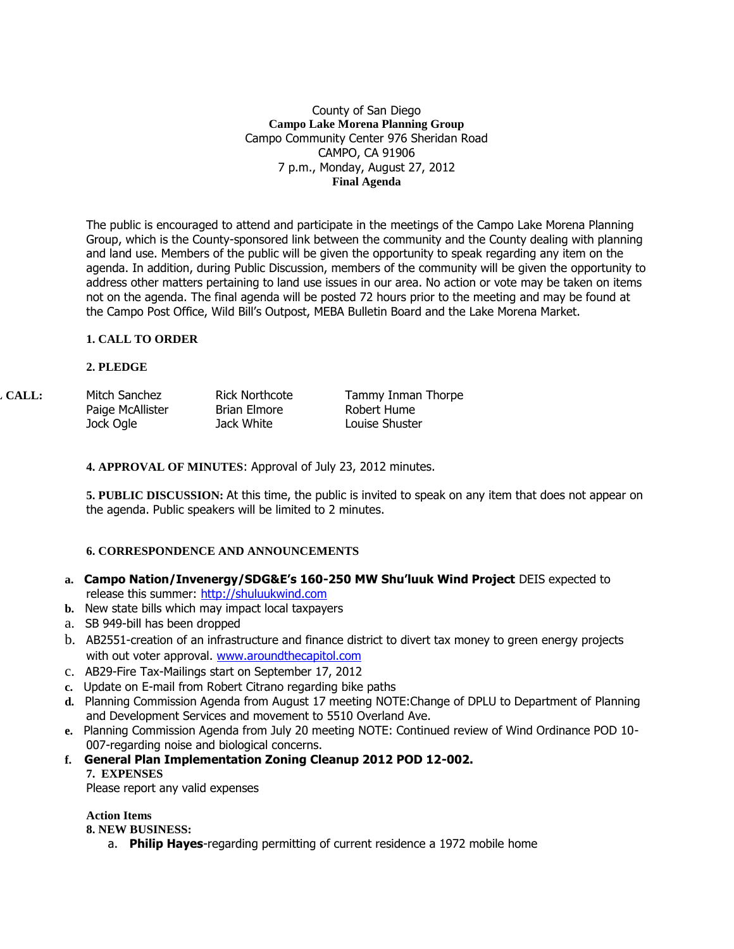#### County of San Diego **Campo Lake Morena Planning Group** Campo Community Center 976 Sheridan Road CAMPO, CA 91906 7 p.m., Monday, August 27, 2012 **Final Agenda**

The public is encouraged to attend and participate in the meetings of the Campo Lake Morena Planning Group, which is the County-sponsored link between the community and the County dealing with planning and land use. Members of the public will be given the opportunity to speak regarding any item on the agenda. In addition, during Public Discussion, members of the community will be given the opportunity to address other matters pertaining to land use issues in our area. No action or vote may be taken on items not on the agenda. The final agenda will be posted 72 hours prior to the meeting and may be found at the Campo Post Office, Wild Bill's Outpost, MEBA Bulletin Board and the Lake Morena Market.

## **1. CALL TO ORDER**

#### **2. PLEDGE**

| L CALL: . | Mitch Sanchez    | <b>Rick Northcote</b> | Tammy Inman Thorpe |
|-----------|------------------|-----------------------|--------------------|
|           | Paige McAllister | Brian Elmore          | Robert Hume        |
|           | Jock Ogle        | Jack White            | Louise Shuster     |

**4. APPROVAL OF MINUTES**: Approval of July 23, 2012 minutes.

**5. PUBLIC DISCUSSION:** At this time, the public is invited to speak on any item that does not appear on the agenda. Public speakers will be limited to 2 minutes.

## **6. CORRESPONDENCE AND ANNOUNCEMENTS**

- **a. Campo Nation/Invenergy/SDG&E's 160-250 MW Shu'luuk Wind Project** DEIS expected to release this summer: [http://shuluukwind.com](http://shuluukwind.com/)
- **b.** New state bills which may impact local taxpayers
- a. SB 949-bill has been dropped
- b. AB2551-creation of an infrastructure and finance district to divert tax money to green energy projects with out voter approval. [www.aroundthecapitol.com](http://www.aroundthecapitol.com/)
- c. AB29-Fire Tax-Mailings start on September 17, 2012
- **c.** Update on E-mail from Robert Citrano regarding bike paths
- **d.** Planning Commission Agenda from August 17 meeting NOTE:Change of DPLU to Department of Planning and Development Services and movement to 5510 Overland Ave.
- **e.** Planning Commission Agenda from July 20 meeting NOTE: Continued review of Wind Ordinance POD 10- 007-regarding noise and biological concerns.
- **f. General Plan Implementation Zoning Cleanup 2012 POD 12-002. 7. EXPENSES**

Please report any valid expenses

# **Action Items**

**8. NEW BUSINESS:**

a. **Philip Hayes**-regarding permitting of current residence a 1972 mobile home